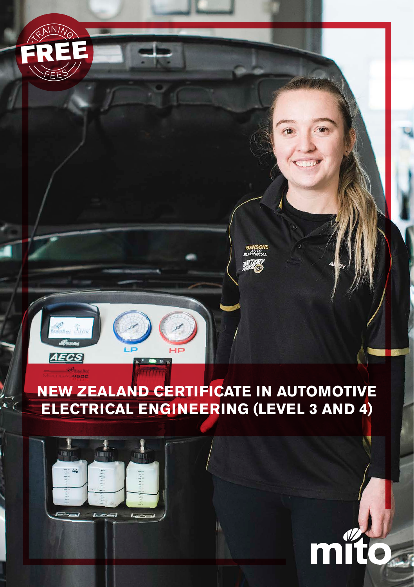

# **NEW ZEALAND CERTIFICATE IN AUTOMOTIVE ELECTRICAL ENGINEERING (LEVEL 3 AND 4)**

m



 $AFGS$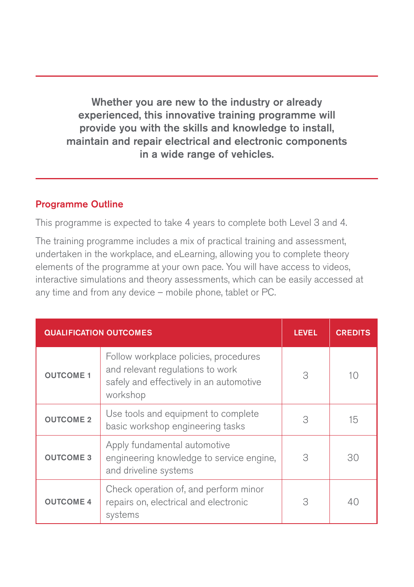Whether you are new to the industry or already experienced, this innovative training programme will provide you with the skills and knowledge to install, maintain and repair electrical and electronic components in a wide range of vehicles.

#### Programme Outline

This programme is expected to take 4 years to complete both Level 3 and 4.

The training programme includes a mix of practical training and assessment, undertaken in the workplace, and eLearning, allowing you to complete theory elements of the programme at your own pace. You will have access to videos, interactive simulations and theory assessments, which can be easily accessed at any time and from any device – mobile phone, tablet or PC.

| <b>QUALIFICATION OUTCOMES</b> |                                                                                                                                  | <b>LEVEL</b> | <b>CREDITS</b> |
|-------------------------------|----------------------------------------------------------------------------------------------------------------------------------|--------------|----------------|
| <b>OUTCOME 1</b>              | Follow workplace policies, procedures<br>and relevant regulations to work<br>safely and effectively in an automotive<br>workshop | 3            | 10             |
| <b>OUTCOME 2</b>              | Use tools and equipment to complete<br>basic workshop engineering tasks                                                          | 3            | 15             |
| <b>OUTCOME 3</b>              | Apply fundamental automotive<br>engineering knowledge to service engine,<br>and driveline systems                                | 3            | 30             |
| <b>OUTCOME 4</b>              | Check operation of, and perform minor<br>repairs on, electrical and electronic<br>systems                                        | 3            | ДC             |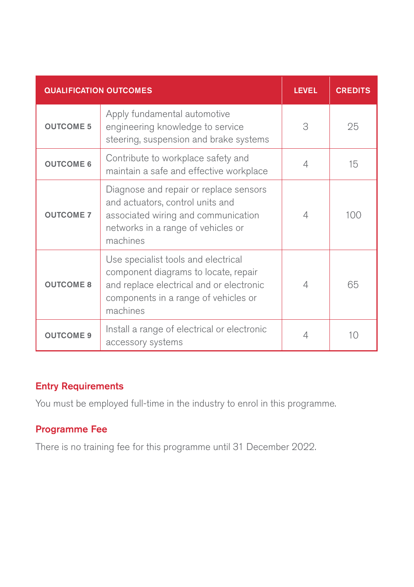| <b>QUALIFICATION OUTCOMES</b> |                                                                                                                                                                             | <b>LEVEL</b> | <b>CREDITS</b> |
|-------------------------------|-----------------------------------------------------------------------------------------------------------------------------------------------------------------------------|--------------|----------------|
| <b>OUTCOME 5</b>              | Apply fundamental automotive<br>engineering knowledge to service<br>steering, suspension and brake systems                                                                  | 3            | 25             |
| <b>OUTCOME 6</b>              | Contribute to workplace safety and<br>maintain a safe and effective workplace                                                                                               | 4            | 15             |
| <b>OUTCOME 7</b>              | Diagnose and repair or replace sensors<br>and actuators, control units and<br>associated wiring and communication<br>networks in a range of vehicles or<br>machines         | 4            | 100            |
| <b>OUTCOME 8</b>              | Use specialist tools and electrical<br>component diagrams to locate, repair<br>and replace electrical and or electronic<br>components in a range of vehicles or<br>machines | 4            | 65             |
| <b>OUTCOME 9</b>              | Install a range of electrical or electronic<br>accessory systems                                                                                                            |              | 10             |

## Entry Requirements

You must be employed full-time in the industry to enrol in this programme.

### Programme Fee

There is no training fee for this programme until 31 December 2022.